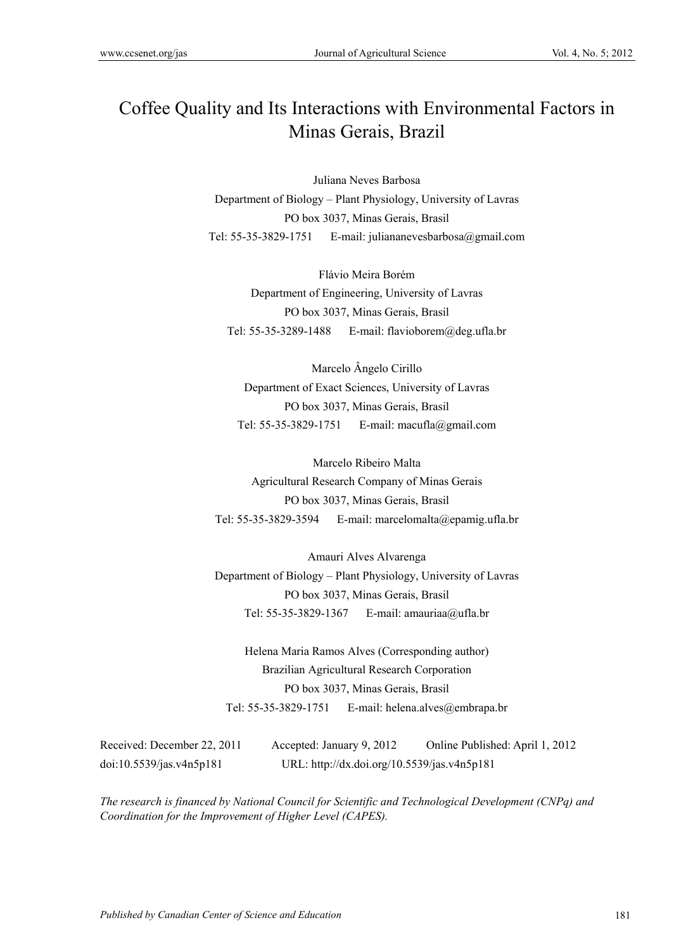# Coffee Quality and Its Interactions with Environmental Factors in Minas Gerais, Brazil

Juliana Neves Barbosa Department of Biology – Plant Physiology, University of Lavras PO box 3037, Minas Gerais, Brasil Tel: 55-35-3829-1751 E-mail: juliananevesbarbosa@gmail.com

Flávio Meira Borém Department of Engineering, University of Lavras PO box 3037, Minas Gerais, Brasil Tel: 55-35-3289-1488 E-mail: flavioborem@deg.ufla.br

Marcelo Ângelo Cirillo Department of Exact Sciences, University of Lavras PO box 3037, Minas Gerais, Brasil Tel: 55-35-3829-1751 E-mail: macufla@gmail.com

Marcelo Ribeiro Malta Agricultural Research Company of Minas Gerais PO box 3037, Minas Gerais, Brasil Tel: 55-35-3829-3594 E-mail: marcelomalta@epamig.ufla.br

Amauri Alves Alvarenga Department of Biology – Plant Physiology, University of Lavras PO box 3037, Minas Gerais, Brasil Tel: 55-35-3829-1367 E-mail: amauriaa@ufla.br

Helena Maria Ramos Alves (Corresponding author) Brazilian Agricultural Research Corporation PO box 3037, Minas Gerais, Brasil Tel: 55-35-3829-1751 E-mail: helena.alves@embrapa.br

| Received: December 22, 2011 | Accepted: January 9, 2012                   | Online Published: April 1, 2012 |
|-----------------------------|---------------------------------------------|---------------------------------|
| doi:10.5539/jas.v4n5p181    | URL: http://dx.doi.org/10.5539/jas.v4n5p181 |                                 |

*The research is financed by National Council for Scientific and Technological Development (CNPq) and Coordination for the Improvement of Higher Level (CAPES).*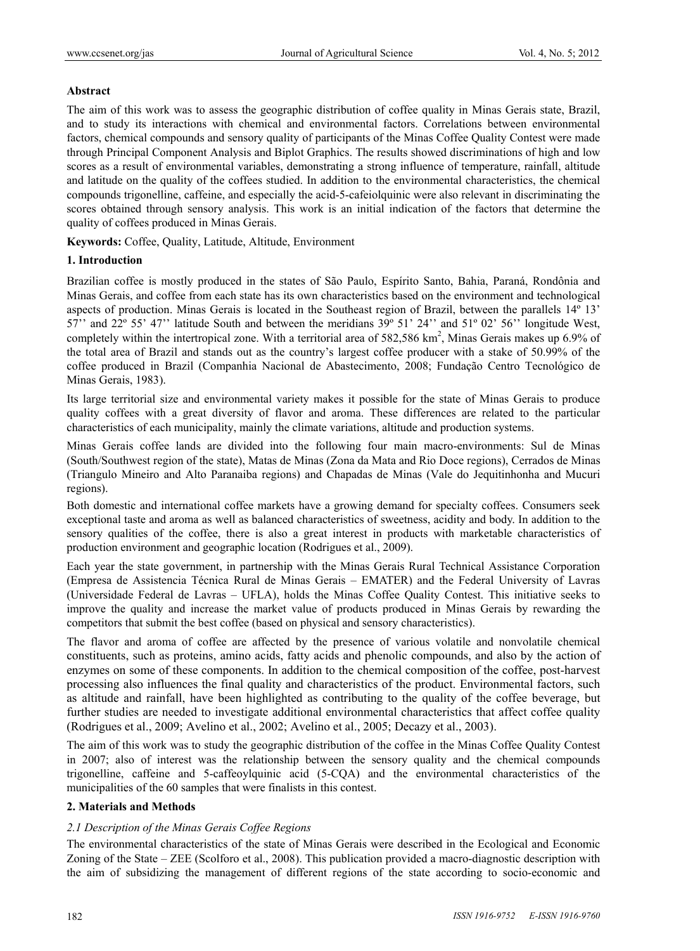# **Abstract**

The aim of this work was to assess the geographic distribution of coffee quality in Minas Gerais state, Brazil, and to study its interactions with chemical and environmental factors. Correlations between environmental factors, chemical compounds and sensory quality of participants of the Minas Coffee Quality Contest were made through Principal Component Analysis and Biplot Graphics. The results showed discriminations of high and low scores as a result of environmental variables, demonstrating a strong influence of temperature, rainfall, altitude and latitude on the quality of the coffees studied. In addition to the environmental characteristics, the chemical compounds trigonelline, caffeine, and especially the acid-5-cafeiolquinic were also relevant in discriminating the scores obtained through sensory analysis. This work is an initial indication of the factors that determine the quality of coffees produced in Minas Gerais.

**Keywords:** Coffee, Quality, Latitude, Altitude, Environment

# **1. Introduction**

Brazilian coffee is mostly produced in the states of São Paulo, Espírito Santo, Bahia, Paraná, Rondônia and Minas Gerais, and coffee from each state has its own characteristics based on the environment and technological aspects of production. Minas Gerais is located in the Southeast region of Brazil, between the parallels 14º 13' 57'' and 22º 55' 47'' latitude South and between the meridians 39º 51' 24'' and 51º 02' 56'' longitude West, completely within the intertropical zone. With a territorial area of 582,586 km<sup>2</sup>, Minas Gerais makes up 6.9% of the total area of Brazil and stands out as the country's largest coffee producer with a stake of 50.99% of the coffee produced in Brazil (Companhia Nacional de Abastecimento, 2008; Fundação Centro Tecnológico de Minas Gerais, 1983).

Its large territorial size and environmental variety makes it possible for the state of Minas Gerais to produce quality coffees with a great diversity of flavor and aroma. These differences are related to the particular characteristics of each municipality, mainly the climate variations, altitude and production systems.

Minas Gerais coffee lands are divided into the following four main macro-environments: Sul de Minas (South/Southwest region of the state), Matas de Minas (Zona da Mata and Rio Doce regions), Cerrados de Minas (Triangulo Mineiro and Alto Paranaiba regions) and Chapadas de Minas (Vale do Jequitinhonha and Mucuri regions).

Both domestic and international coffee markets have a growing demand for specialty coffees. Consumers seek exceptional taste and aroma as well as balanced characteristics of sweetness, acidity and body. In addition to the sensory qualities of the coffee, there is also a great interest in products with marketable characteristics of production environment and geographic location (Rodrigues et al., 2009).

Each year the state government, in partnership with the Minas Gerais Rural Technical Assistance Corporation (Empresa de Assistencia Técnica Rural de Minas Gerais – EMATER) and the Federal University of Lavras (Universidade Federal de Lavras – UFLA), holds the Minas Coffee Quality Contest. This initiative seeks to improve the quality and increase the market value of products produced in Minas Gerais by rewarding the competitors that submit the best coffee (based on physical and sensory characteristics).

The flavor and aroma of coffee are affected by the presence of various volatile and nonvolatile chemical constituents, such as proteins, amino acids, fatty acids and phenolic compounds, and also by the action of enzymes on some of these components. In addition to the chemical composition of the coffee, post-harvest processing also influences the final quality and characteristics of the product. Environmental factors, such as altitude and rainfall, have been highlighted as contributing to the quality of the coffee beverage, but further studies are needed to investigate additional environmental characteristics that affect coffee quality (Rodrigues et al., 2009; Avelino et al., 2002; Avelino et al., 2005; Decazy et al., 2003).

The aim of this work was to study the geographic distribution of the coffee in the Minas Coffee Quality Contest in 2007; also of interest was the relationship between the sensory quality and the chemical compounds trigonelline, caffeine and 5-caffeoylquinic acid (5-CQA) and the environmental characteristics of the municipalities of the 60 samples that were finalists in this contest.

# **2. Materials and Methods**

# *2.1 Description of the Minas Gerais Coffee Regions*

The environmental characteristics of the state of Minas Gerais were described in the Ecological and Economic Zoning of the State – ZEE (Scolforo et al., 2008). This publication provided a macro-diagnostic description with the aim of subsidizing the management of different regions of the state according to socio-economic and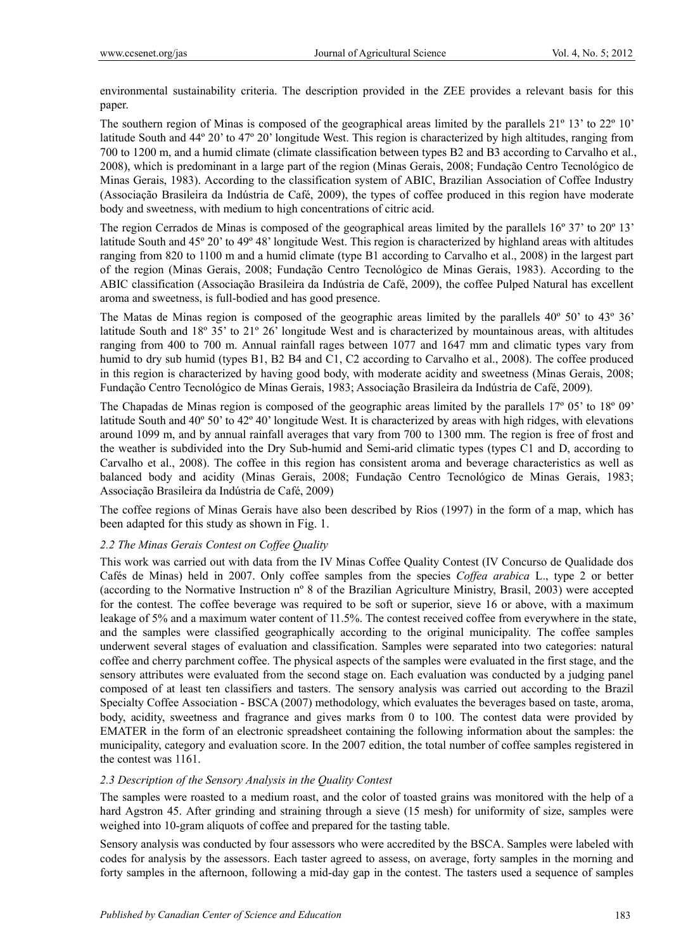environmental sustainability criteria. The description provided in the ZEE provides a relevant basis for this paper.

The southern region of Minas is composed of the geographical areas limited by the parallels 21º 13' to 22º 10' latitude South and 44º 20' to 47º 20' longitude West. This region is characterized by high altitudes, ranging from 700 to 1200 m, and a humid climate (climate classification between types B2 and B3 according to Carvalho et al., 2008), which is predominant in a large part of the region (Minas Gerais, 2008; Fundação Centro Tecnológico de Minas Gerais, 1983). According to the classification system of ABIC, Brazilian Association of Coffee Industry (Associação Brasileira da Indústria de Café, 2009), the types of coffee produced in this region have moderate body and sweetness, with medium to high concentrations of citric acid.

The region Cerrados de Minas is composed of the geographical areas limited by the parallels 16º 37' to 20º 13' latitude South and 45º 20' to 49º 48' longitude West. This region is characterized by highland areas with altitudes ranging from 820 to 1100 m and a humid climate (type B1 according to Carvalho et al., 2008) in the largest part of the region (Minas Gerais, 2008; Fundação Centro Tecnológico de Minas Gerais, 1983). According to the ABIC classification (Associação Brasileira da Indústria de Café, 2009), the coffee Pulped Natural has excellent aroma and sweetness, is full-bodied and has good presence.

The Matas de Minas region is composed of the geographic areas limited by the parallels 40º 50' to 43º 36' latitude South and 18º 35' to 21º 26' longitude West and is characterized by mountainous areas, with altitudes ranging from 400 to 700 m. Annual rainfall rages between 1077 and 1647 mm and climatic types vary from humid to dry sub humid (types B1, B2 B4 and C1, C2 according to Carvalho et al., 2008). The coffee produced in this region is characterized by having good body, with moderate acidity and sweetness (Minas Gerais, 2008; Fundação Centro Tecnológico de Minas Gerais, 1983; Associação Brasileira da Indústria de Café, 2009).

The Chapadas de Minas region is composed of the geographic areas limited by the parallels 17º 05' to 18º 09' latitude South and 40º 50' to 42º 40' longitude West. It is characterized by areas with high ridges, with elevations around 1099 m, and by annual rainfall averages that vary from 700 to 1300 mm. The region is free of frost and the weather is subdivided into the Dry Sub-humid and Semi-arid climatic types (types C1 and D, according to Carvalho et al., 2008). The coffee in this region has consistent aroma and beverage characteristics as well as balanced body and acidity (Minas Gerais, 2008; Fundação Centro Tecnológico de Minas Gerais, 1983; Associação Brasileira da Indústria de Café, 2009)

The coffee regions of Minas Gerais have also been described by Rios (1997) in the form of a map, which has been adapted for this study as shown in Fig. 1.

## *2.2 The Minas Gerais Contest on Coffee Quality*

This work was carried out with data from the IV Minas Coffee Quality Contest (IV Concurso de Qualidade dos Cafés de Minas) held in 2007. Only coffee samples from the species *Coffea arabica* L., type 2 or better (according to the Normative Instruction nº 8 of the Brazilian Agriculture Ministry, Brasil, 2003) were accepted for the contest. The coffee beverage was required to be soft or superior, sieve 16 or above, with a maximum leakage of 5% and a maximum water content of 11.5%. The contest received coffee from everywhere in the state, and the samples were classified geographically according to the original municipality. The coffee samples underwent several stages of evaluation and classification. Samples were separated into two categories: natural coffee and cherry parchment coffee. The physical aspects of the samples were evaluated in the first stage, and the sensory attributes were evaluated from the second stage on. Each evaluation was conducted by a judging panel composed of at least ten classifiers and tasters. The sensory analysis was carried out according to the Brazil Specialty Coffee Association - BSCA (2007) methodology, which evaluates the beverages based on taste, aroma, body, acidity, sweetness and fragrance and gives marks from 0 to 100. The contest data were provided by EMATER in the form of an electronic spreadsheet containing the following information about the samples: the municipality, category and evaluation score. In the 2007 edition, the total number of coffee samples registered in the contest was 1161.

## *2.3 Description of the Sensory Analysis in the Quality Contest*

The samples were roasted to a medium roast, and the color of toasted grains was monitored with the help of a hard Agstron 45. After grinding and straining through a sieve (15 mesh) for uniformity of size, samples were weighed into 10-gram aliquots of coffee and prepared for the tasting table.

Sensory analysis was conducted by four assessors who were accredited by the BSCA. Samples were labeled with codes for analysis by the assessors. Each taster agreed to assess, on average, forty samples in the morning and forty samples in the afternoon, following a mid-day gap in the contest. The tasters used a sequence of samples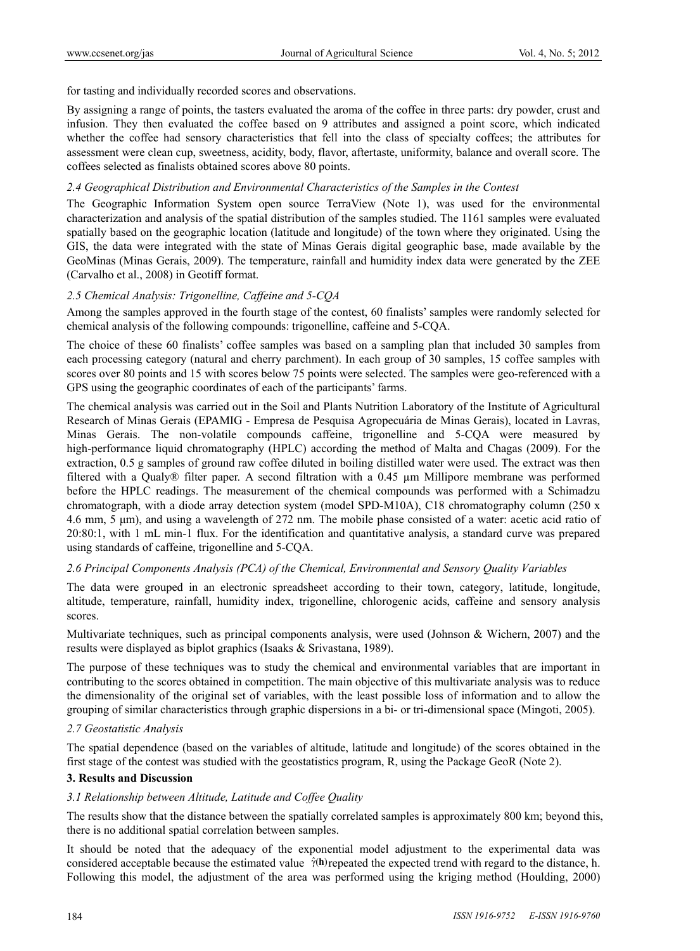for tasting and individually recorded scores and observations.

By assigning a range of points, the tasters evaluated the aroma of the coffee in three parts: dry powder, crust and infusion. They then evaluated the coffee based on 9 attributes and assigned a point score, which indicated whether the coffee had sensory characteristics that fell into the class of specialty coffees; the attributes for assessment were clean cup, sweetness, acidity, body, flavor, aftertaste, uniformity, balance and overall score. The coffees selected as finalists obtained scores above 80 points.

#### *2.4 Geographical Distribution and Environmental Characteristics of the Samples in the Contest*

The Geographic Information System open source TerraView (Note 1), was used for the environmental characterization and analysis of the spatial distribution of the samples studied. The 1161 samples were evaluated spatially based on the geographic location (latitude and longitude) of the town where they originated. Using the GIS, the data were integrated with the state of Minas Gerais digital geographic base, made available by the GeoMinas (Minas Gerais, 2009). The temperature, rainfall and humidity index data were generated by the ZEE (Carvalho et al., 2008) in Geotiff format.

## *2.5 Chemical Analysis: Trigonelline, Caffeine and 5-CQA*

Among the samples approved in the fourth stage of the contest, 60 finalists' samples were randomly selected for chemical analysis of the following compounds: trigonelline, caffeine and 5-CQA.

The choice of these 60 finalists' coffee samples was based on a sampling plan that included 30 samples from each processing category (natural and cherry parchment). In each group of 30 samples, 15 coffee samples with scores over 80 points and 15 with scores below 75 points were selected. The samples were geo-referenced with a GPS using the geographic coordinates of each of the participants' farms.

The chemical analysis was carried out in the Soil and Plants Nutrition Laboratory of the Institute of Agricultural Research of Minas Gerais (EPAMIG - Empresa de Pesquisa Agropecuária de Minas Gerais), located in Lavras, Minas Gerais. The non-volatile compounds caffeine, trigonelline and 5-CQA were measured by high-performance liquid chromatography (HPLC) according the method of Malta and Chagas (2009). For the extraction, 0.5 g samples of ground raw coffee diluted in boiling distilled water were used. The extract was then filtered with a Qualy® filter paper. A second filtration with a 0.45 µm Millipore membrane was performed before the HPLC readings. The measurement of the chemical compounds was performed with a Schimadzu chromatograph, with a diode array detection system (model SPD-M10A), C18 chromatography column (250 x 4.6 mm, 5 μm), and using a wavelength of 272 nm. The mobile phase consisted of a water: acetic acid ratio of 20:80:1, with 1 mL min-1 flux. For the identification and quantitative analysis, a standard curve was prepared using standards of caffeine, trigonelline and 5-CQA.

## *2.6 Principal Components Analysis (PCA) of the Chemical, Environmental and Sensory Quality Variables*

The data were grouped in an electronic spreadsheet according to their town, category, latitude, longitude, altitude, temperature, rainfall, humidity index, trigonelline, chlorogenic acids, caffeine and sensory analysis scores.

Multivariate techniques, such as principal components analysis, were used (Johnson & Wichern, 2007) and the results were displayed as biplot graphics (Isaaks & Srivastana, 1989).

The purpose of these techniques was to study the chemical and environmental variables that are important in contributing to the scores obtained in competition. The main objective of this multivariate analysis was to reduce the dimensionality of the original set of variables, with the least possible loss of information and to allow the grouping of similar characteristics through graphic dispersions in a bi- or tri-dimensional space (Mingoti, 2005).

#### *2.7 Geostatistic Analysis*

The spatial dependence (based on the variables of altitude, latitude and longitude) of the scores obtained in the first stage of the contest was studied with the geostatistics program, R, using the Package GeoR (Note 2).

#### **3. Results and Discussion**

## *3.1 Relationship between Altitude, Latitude and Coffee Quality*

The results show that the distance between the spatially correlated samples is approximately 800 km; beyond this, there is no additional spatial correlation between samples.

It should be noted that the adequacy of the exponential model adjustment to the experimental data was considered acceptable because the estimated value  $\hat{v}$ (h) repeated the expected trend with regard to the distance, h. Following this model, the adjustment of the area was performed using the kriging method (Houlding, 2000)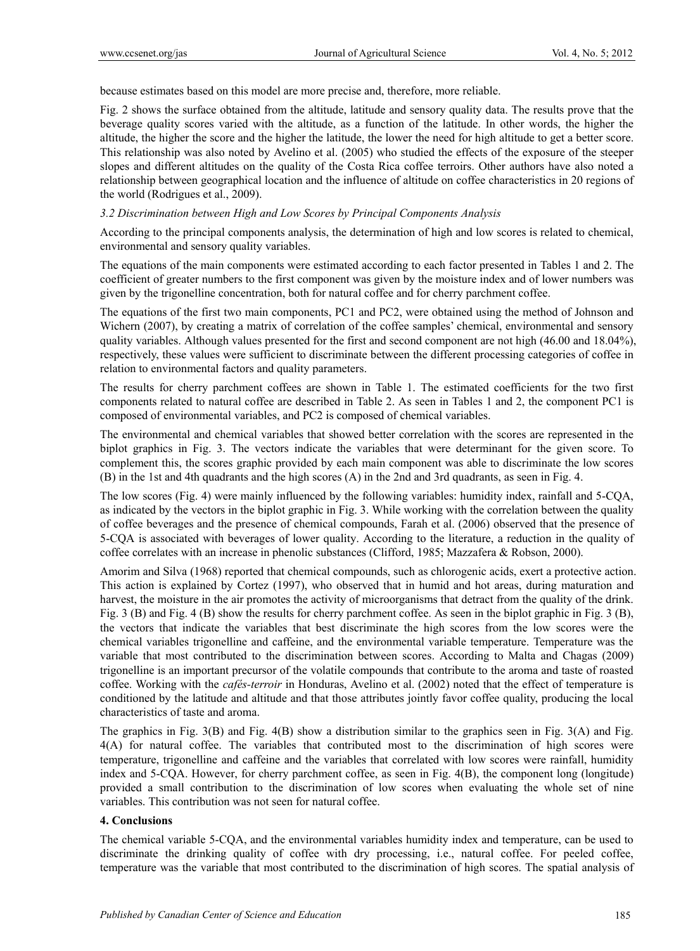because estimates based on this model are more precise and, therefore, more reliable.

Fig. 2 shows the surface obtained from the altitude, latitude and sensory quality data. The results prove that the beverage quality scores varied with the altitude, as a function of the latitude. In other words, the higher the altitude, the higher the score and the higher the latitude, the lower the need for high altitude to get a better score. This relationship was also noted by Avelino et al. (2005) who studied the effects of the exposure of the steeper slopes and different altitudes on the quality of the Costa Rica coffee terroirs. Other authors have also noted a relationship between geographical location and the influence of altitude on coffee characteristics in 20 regions of the world (Rodrigues et al., 2009).

## *3.2 Discrimination between High and Low Scores by Principal Components Analysis*

According to the principal components analysis, the determination of high and low scores is related to chemical, environmental and sensory quality variables.

The equations of the main components were estimated according to each factor presented in Tables 1 and 2. The coefficient of greater numbers to the first component was given by the moisture index and of lower numbers was given by the trigonelline concentration, both for natural coffee and for cherry parchment coffee.

The equations of the first two main components, PC1 and PC2, were obtained using the method of Johnson and Wichern (2007), by creating a matrix of correlation of the coffee samples' chemical, environmental and sensory quality variables. Although values presented for the first and second component are not high (46.00 and 18.04%), respectively, these values were sufficient to discriminate between the different processing categories of coffee in relation to environmental factors and quality parameters.

The results for cherry parchment coffees are shown in Table 1. The estimated coefficients for the two first components related to natural coffee are described in Table 2. As seen in Tables 1 and 2, the component PC1 is composed of environmental variables, and PC2 is composed of chemical variables.

The environmental and chemical variables that showed better correlation with the scores are represented in the biplot graphics in Fig. 3. The vectors indicate the variables that were determinant for the given score. To complement this, the scores graphic provided by each main component was able to discriminate the low scores (B) in the 1st and 4th quadrants and the high scores (A) in the 2nd and 3rd quadrants, as seen in Fig. 4.

The low scores (Fig. 4) were mainly influenced by the following variables: humidity index, rainfall and 5-CQA, as indicated by the vectors in the biplot graphic in Fig. 3. While working with the correlation between the quality of coffee beverages and the presence of chemical compounds, Farah et al. (2006) observed that the presence of 5-CQA is associated with beverages of lower quality. According to the literature, a reduction in the quality of coffee correlates with an increase in phenolic substances (Clifford, 1985; Mazzafera & Robson, 2000).

Amorim and Silva (1968) reported that chemical compounds, such as chlorogenic acids, exert a protective action. This action is explained by Cortez (1997), who observed that in humid and hot areas, during maturation and harvest, the moisture in the air promotes the activity of microorganisms that detract from the quality of the drink. Fig. 3 (B) and Fig. 4 (B) show the results for cherry parchment coffee. As seen in the biplot graphic in Fig. 3 (B), the vectors that indicate the variables that best discriminate the high scores from the low scores were the chemical variables trigonelline and caffeine, and the environmental variable temperature. Temperature was the variable that most contributed to the discrimination between scores. According to Malta and Chagas (2009) trigonelline is an important precursor of the volatile compounds that contribute to the aroma and taste of roasted coffee. Working with the *cafés-terroir* in Honduras, Avelino et al. (2002) noted that the effect of temperature is conditioned by the latitude and altitude and that those attributes jointly favor coffee quality, producing the local characteristics of taste and aroma.

The graphics in Fig. 3(B) and Fig. 4(B) show a distribution similar to the graphics seen in Fig. 3(A) and Fig. 4(A) for natural coffee. The variables that contributed most to the discrimination of high scores were temperature, trigonelline and caffeine and the variables that correlated with low scores were rainfall, humidity index and 5-CQA. However, for cherry parchment coffee, as seen in Fig. 4(B), the component long (longitude) provided a small contribution to the discrimination of low scores when evaluating the whole set of nine variables. This contribution was not seen for natural coffee.

## **4. Conclusions**

The chemical variable 5-CQA, and the environmental variables humidity index and temperature, can be used to discriminate the drinking quality of coffee with dry processing, i.e., natural coffee. For peeled coffee, temperature was the variable that most contributed to the discrimination of high scores. The spatial analysis of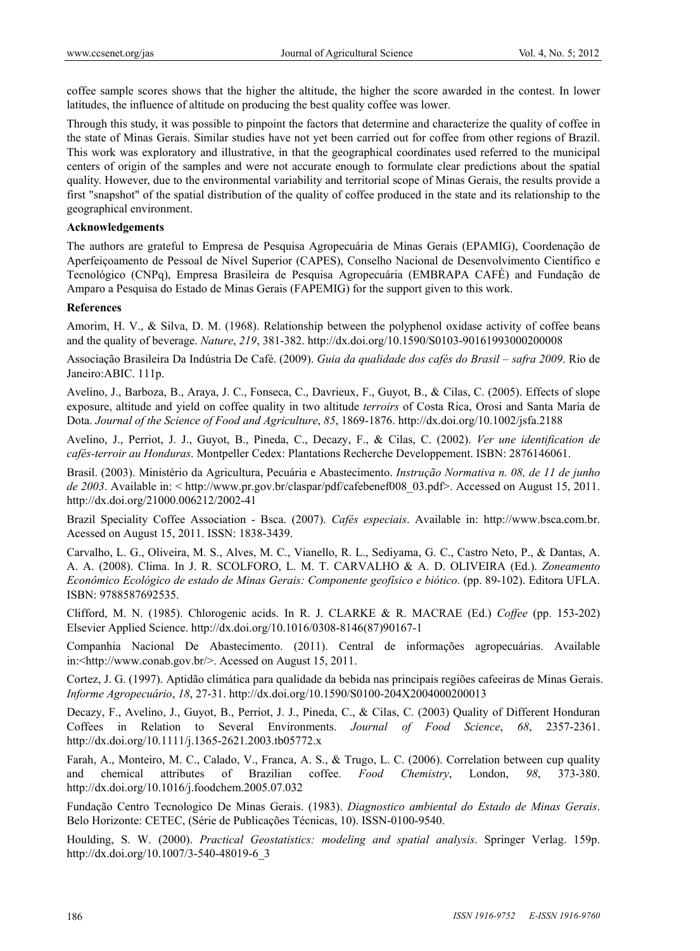coffee sample scores shows that the higher the altitude, the higher the score awarded in the contest. In lower latitudes, the influence of altitude on producing the best quality coffee was lower.

Through this study, it was possible to pinpoint the factors that determine and characterize the quality of coffee in the state of Minas Gerais. Similar studies have not yet been carried out for coffee from other regions of Brazil. This work was exploratory and illustrative, in that the geographical coordinates used referred to the municipal centers of origin of the samples and were not accurate enough to formulate clear predictions about the spatial quality. However, due to the environmental variability and territorial scope of Minas Gerais, the results provide a first "snapshot" of the spatial distribution of the quality of coffee produced in the state and its relationship to the geographical environment.

#### **Acknowledgements**

The authors are grateful to Empresa de Pesquisa Agropecuária de Minas Gerais (EPAMIG), Coordenação de Aperfeiçoamento de Pessoal de Nível Superior (CAPES), Conselho Nacional de Desenvolvimento Científico e Tecnológico (CNPq), Empresa Brasileira de Pesquisa Agropecuária (EMBRAPA CAFÉ) and Fundação de Amparo a Pesquisa do Estado de Minas Gerais (FAPEMIG) for the support given to this work.

#### **References**

Amorim, H. V., & Silva, D. M. (1968). Relationship between the polyphenol oxidase activity of coffee beans and the quality of beverage. *Nature*, *219*, 381-382. http://dx.doi.org/10.1590/S0103-90161993000200008

Associação Brasileira Da Indústria De Café. (2009). *Guia da qualidade dos cafés do Brasil – safra 2009*. Rio de Janeiro:ABIC. 111p.

Avelino, J., Barboza, B., Araya, J. C., Fonseca, C., Davrieux, F., Guyot, B., & Cilas, C. (2005). Effects of slope exposure, altitude and yield on coffee quality in two altitude *terroirs* of Costa Rica, Orosi and Santa María de Dota. *Journal of the Science of Food and Agriculture*, *85*, 1869-1876. http://dx.doi.org/10.1002/jsfa.2188

Avelino, J., Perriot, J. J., Guyot, B., Pineda, C., Decazy, F., & Cilas, C. (2002). *Ver une identification de cafés-terroir au Honduras*. Montpeller Cedex: Plantations Recherche Developpement. ISBN: 2876146061.

Brasil. (2003). Ministério da Agricultura, Pecuária e Abastecimento. *Instrução Normativa n. 08, de 11 de junho de 2003*. Available in: < http://www.pr.gov.br/claspar/pdf/cafebenef008\_03.pdf>. Accessed on August 15, 2011. http://dx.doi.org/21000.006212/2002-41

Brazil Speciality Coffee Association - Bsca. (2007). *Cafés especiais*. Available in: http://www.bsca.com.br. Acessed on August 15, 2011. ISSN: 1838-3439.

Carvalho, L. G., Oliveira, M. S., Alves, M. C., Vianello, R. L., Sediyama, G. C., Castro Neto, P., & Dantas, A. A. A. (2008). Clima. In J. R. SCOLFORO, L. M. T. CARVALHO & A. D. OLIVEIRA (Ed.). *Zoneamento Econômico Ecológico de estado de Minas Gerais: Componente geofísico e biótico.* (pp. 89-102). Editora UFLA. ISBN: 9788587692535.

Clifford, M. N. (1985). Chlorogenic acids. In R. J. CLARKE & R. MACRAE (Ed.) *Coffee* (pp. 153-202) Elsevier Applied Science. http://dx.doi.org/10.1016/0308-8146(87)90167-1

Companhia Nacional De Abastecimento. (2011). Central de informações agropecuárias. Available in:<http://www.conab.gov.br/>. Acessed on August 15, 2011.

Cortez, J. G. (1997). Aptidão climática para qualidade da bebida nas principais regiões cafeeiras de Minas Gerais. *Informe Agropecuário*, *18*, 27-31. http://dx.doi.org/10.1590/S0100-204X2004000200013

Decazy, F., Avelino, J., Guyot, B., Perriot, J. J., Pineda, C., & Cilas, C. (2003) Quality of Different Honduran Coffees in Relation to Several Environments. *Journal of Food Science*, *68*, 2357-2361. http://dx.doi.org/10.1111/j.1365-2621.2003.tb05772.x

Farah, A., Monteiro, M. C., Calado, V., Franca, A. S., & Trugo, L. C. (2006). Correlation between cup quality and chemical attributes of Brazilian coffee. *Food Chemistry*, London, *98*, 373-380. http://dx.doi.org/10.1016/j.foodchem.2005.07.032

Fundação Centro Tecnologico De Minas Gerais. (1983). *Diagnostico ambiental do Estado de Minas Gerais*. Belo Horizonte: CETEC, (Série de Publicações Técnicas, 10). ISSN-0100-9540.

Houlding, S. W. (2000). *Practical Geostatistics: modeling and spatial analysis*. Springer Verlag. 159p. http://dx.doi.org/10.1007/3-540-48019-6\_3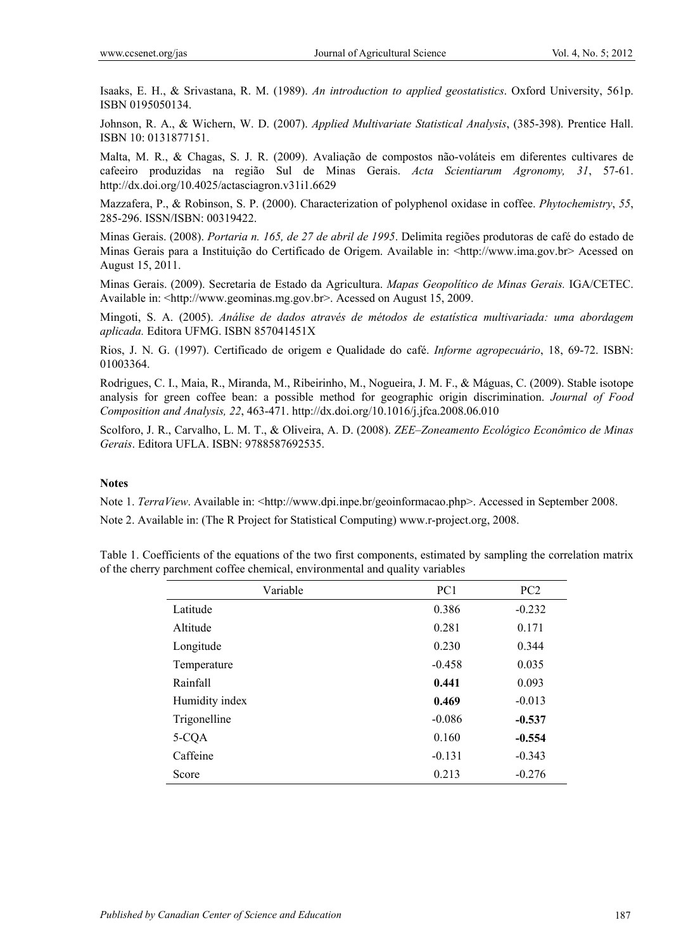Isaaks, E. H., & Srivastana, R. M. (1989). *An introduction to applied geostatistics*. Oxford University, 561p. ISBN 0195050134.

Johnson, R. A., & Wichern, W. D. (2007). *Applied Multivariate Statistical Analysis*, (385-398). Prentice Hall. ISBN 10: 0131877151.

Malta, M. R., & Chagas, S. J. R. (2009). Avaliação de compostos não-voláteis em diferentes cultivares de cafeeiro produzidas na região Sul de Minas Gerais. *Acta Scientiarum Agronomy, 31*, 57-61. http://dx.doi.org/10.4025/actasciagron.v31i1.6629

Mazzafera, P., & Robinson, S. P. (2000). Characterization of polyphenol oxidase in coffee. *Phytochemistry*, *55*, 285-296. ISSN/ISBN: 00319422.

Minas Gerais. (2008). *Portaria n. 165, de 27 de abril de 1995*. Delimita regiões produtoras de café do estado de Minas Gerais para a Instituição do Certificado de Origem. Available in: <http://www.ima.gov.br> Acessed on August 15, 2011.

Minas Gerais. (2009). Secretaria de Estado da Agricultura. *Mapas Geopolítico de Minas Gerais.* IGA/CETEC. Available in: <http://www.geominas.mg.gov.br>. Acessed on August 15, 2009.

Mingoti, S. A. (2005). *Análise de dados através de métodos de estatística multivariada: uma abordagem aplicada.* Editora UFMG. ISBN 857041451X

Rios, J. N. G. (1997). Certificado de origem e Qualidade do café. *Informe agropecuário*, 18, 69-72. ISBN: 01003364.

Rodrigues, C. I., Maia, R., Miranda, M., Ribeirinho, M., Nogueira, J. M. F., & Máguas, C. (2009). Stable isotope analysis for green coffee bean: a possible method for geographic origin discrimination. *Journal of Food Composition and Analysis, 22*, 463-471. http://dx.doi.org/10.1016/j.jfca.2008.06.010

Scolforo, J. R., Carvalho, L. M. T., & Oliveira, A. D. (2008). *ZEE–Zoneamento Ecológico Econômico de Minas Gerais*. Editora UFLA. ISBN: 9788587692535.

## **Notes**

Note 1. *TerraView*. Available in: <http://www.dpi.inpe.br/geoinformacao.php>. Accessed in September 2008.

Note 2. Available in: (The R Project for Statistical Computing) www.r-project.org, 2008.

| Table 1. Coefficients of the equations of the two first components, estimated by sampling the correlation matrix |  |  |  |
|------------------------------------------------------------------------------------------------------------------|--|--|--|
| of the cherry parchment coffee chemical, environmental and quality variables                                     |  |  |  |

| Variable       | PC <sub>1</sub> | PC <sub>2</sub> |
|----------------|-----------------|-----------------|
| Latitude       | 0.386           | $-0.232$        |
| Altitude       | 0.281           | 0.171           |
| Longitude      | 0.230           | 0.344           |
| Temperature    | $-0.458$        | 0.035           |
| Rainfall       | 0.441           | 0.093           |
| Humidity index | 0.469           | $-0.013$        |
| Trigonelline   | $-0.086$        | $-0.537$        |
| 5-CQA          | 0.160           | $-0.554$        |
| Caffeine       | $-0.131$        | $-0.343$        |
| Score          | 0.213           | $-0.276$        |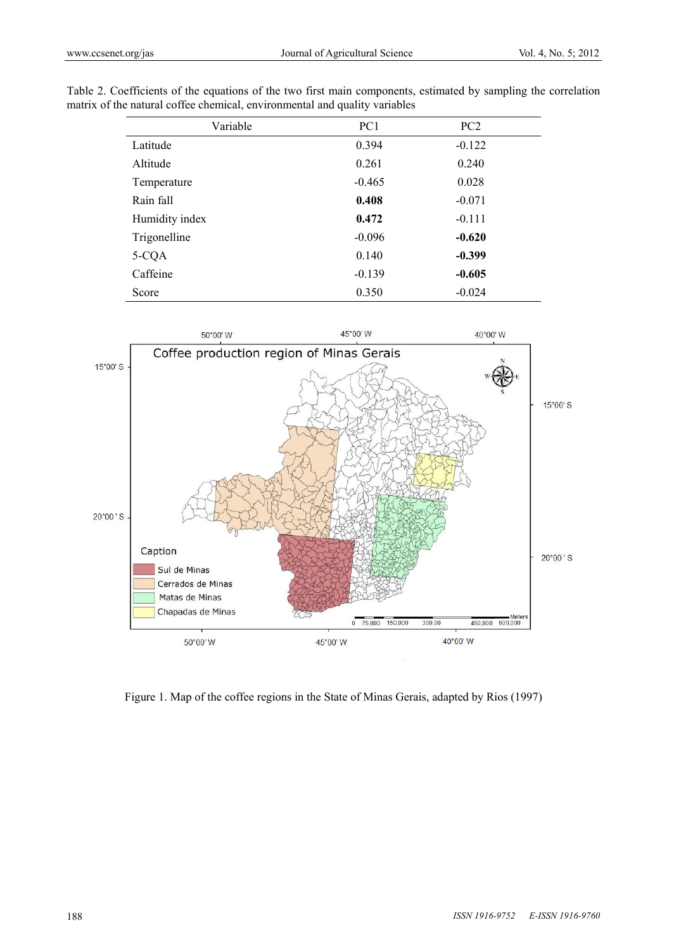| Variable       | PC <sub>1</sub> | PC <sub>2</sub> |  |
|----------------|-----------------|-----------------|--|
| Latitude       | 0.394           | $-0.122$        |  |
| Altitude       | 0.261           | 0.240           |  |
| Temperature    | $-0.465$        | 0.028           |  |
| Rain fall      | 0.408           | $-0.071$        |  |
| Humidity index | 0.472           | $-0.111$        |  |
| Trigonelline   | $-0.096$        | $-0.620$        |  |
| 5-CQA          | 0.140           | $-0.399$        |  |
| Caffeine       | $-0.139$        | $-0.605$        |  |
| Score          | 0.350           | $-0.024$        |  |

Table 2. Coefficients of the equations of the two first main components, estimated by sampling the correlation matrix of the natural coffee chemical, environmental and quality variables



Figure 1. Map of the coffee regions in the State of Minas Gerais, adapted by Rios (1997)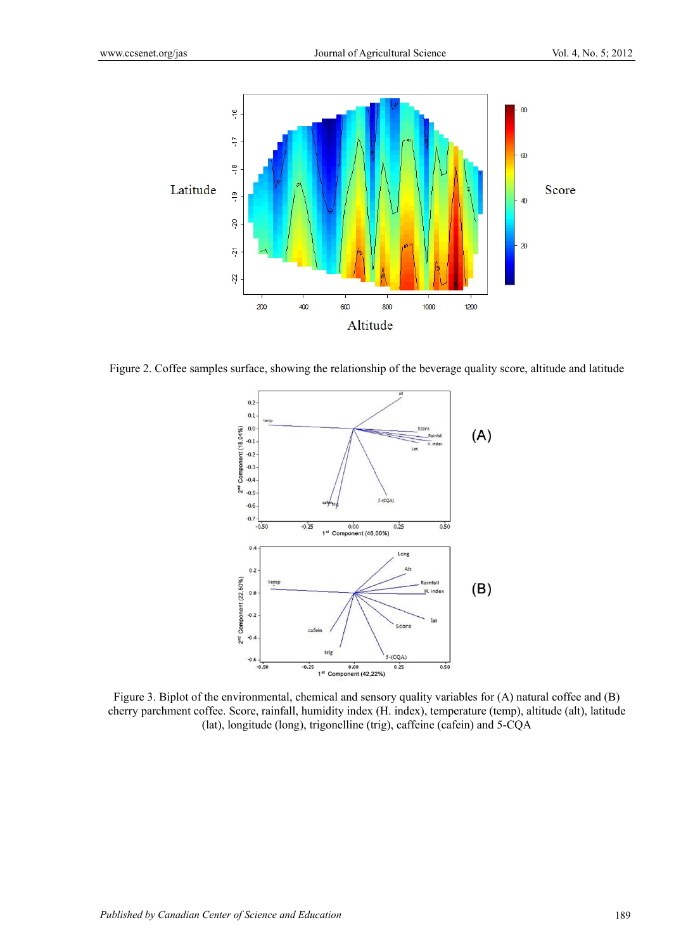

Figure 2. Coffee samples surface, showing the relationship of the beverage quality score, altitude and latitude



Figure 3. Biplot of the environmental, chemical and sensory quality variables for (A) natural coffee and (B) cherry parchment coffee. Score, rainfall, humidity index (H. index), temperature (temp), altitude (alt), latitude (lat), longitude (long), trigonelline (trig), caffeine (cafein) and 5-CQA